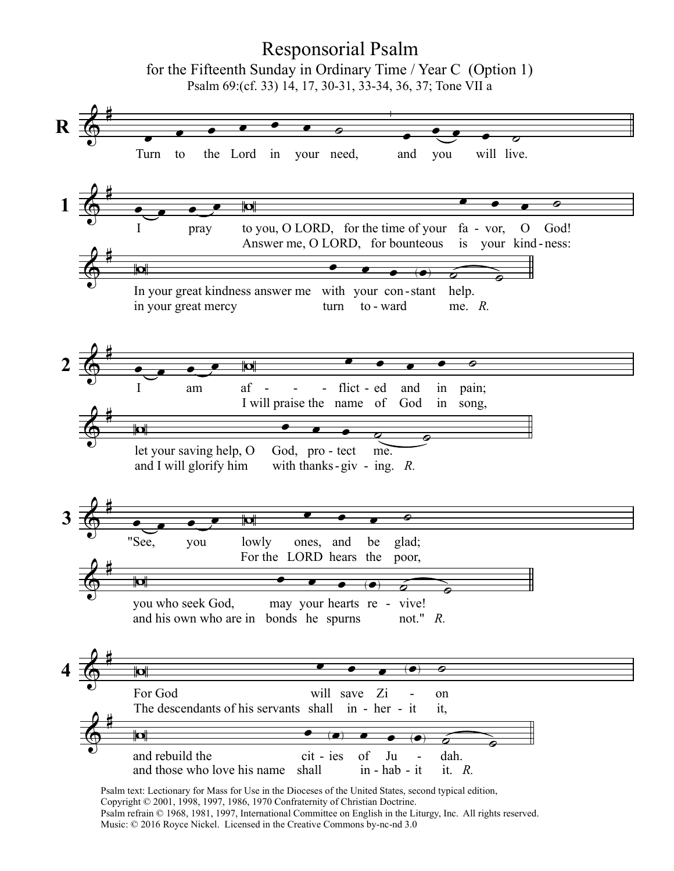## $\bigoplus$ #  $\overline{\bullet}$ . . . . . <u>.</u> Turn to the Lord in your need,  $\overline{\bullet}$  $\overline{\cdot\cdot\cdot}$ and you will live.  $\bigoplus$ #  $\bullet$  ,  $\bullet$  ,  $\bullet$  ,  $\circ$  ,  $\circ$  ,  $\circ$  ,  $\circ$  ,  $\circ$  ,  $\circ$  ,  $\circ$  ,  $\circ$  ,  $\circ$  ,  $\circ$  ,  $\circ$  ,  $\circ$  ,  $\circ$  ,  $\circ$  ,  $\circ$  ,  $\circ$  ,  $\circ$  ,  $\circ$  ,  $\circ$  ,  $\circ$  ,  $\circ$  ,  $\circ$  ,  $\circ$  ,  $\circ$  ,  $\circ$  ,  $\circ$  ,  $\circ$  ,  $\circ$  ,  $\circ$ I pray to you, O LORD, for the time of your fa - vor, Answer me, O LORD, for bounteous is your kind-ness: O God!  $\Phi$  $\sharp$  In your great kindness answer me with your con-stant help. in your great mercy turn to ward  $me.$   $R.$  $\bigoplus$  $\sharp$  $\bullet$  ,  $\bullet$  ,  $\bullet$  ,  $\bullet$  ,  $\bullet$  ,  $\bullet$  ,  $\bullet$  ,  $\bullet$  ,  $\bullet$  ,  $\bullet$  ,  $\bullet$  ,  $\bullet$ I am af I will praise the name of  $\text{flict - ed}$ and God in in pain; song,  $\bigoplus$ ‡ let your saving help, O and I will glorify him God, pro - tect with thanks-giv - ing.  $R$ . me.  $\Phi$ #  $\bullet$  ,  $\bullet$  ,  $\bullet$  ,  $\bullet$  ,  $\bullet$  ,  $\bullet$ "See, you lowly For the LORD hears the ones, and be glad; poor,  $\bigoplus$ #  $\begin{array}{c|ccccccccc}\n\hline\n\text{AB} & \text{BC} & \text{BC} & \text{BC} & \text{BC} & \text{BC} & \text{BC} & \text{BC} & \text{BC} & \text{BC} & \text{BC} & \text{BC} & \text{BC} & \text{BC} & \text{BC} & \text{BC} & \text{BC} & \text{BC} & \text{BC} & \text{BC} & \text{BC} & \text{BC} & \text{BC} & \text{BC} & \text{BC} & \text{BC} & \text{BC} & \text{BC} & \text{BC} & \text{BC} & \text{BC} & \text{BC} & \text{BC} & \text{BC} &$ you who seek God, and his own who are in bonds he spurns may your hearts re - vive! not."  $R$ .  $\bigoplus$  $\sharp$  The descendants of his servants shall For God will save  $\text{in}$  - her - it it, Zi on -  $\bigoplus$ #  $\begin{array}{c|ccccccccc}\n\hline\n\text{AB} & \text{BC} & \text{BC} & \text{BC} & \text{BC} & \text{BC} & \text{BC} & \text{BC} & \text{BC} & \text{BC} & \text{BC} & \text{BC} & \text{BC} & \text{BC} & \text{BC} & \text{BC} & \text{BC} & \text{BC} & \text{BC} & \text{BC} & \text{BC} & \text{BC} & \text{BC} & \text{BC} & \text{BC} & \text{BC} & \text{BC} & \text{BC} & \text{BC} & \text{BC} & \text{BC} & \text{BC} & \text{BC} & \text{BC} &$ and rebuild the and those who love his name shall cit - ies of Ju - dah. in - hab - it of Ju dah.<br>it.  $R$ . - R 1 2 3 Responsorial Psalm for the Fifteenth Sunday in Ordinary Time / Year C (Option 1) Psalm 69:(cf. 33) 14, 17, 30-31, 33-34, 36, 37; Tone VII a 4

Psalm text: Lectionary for Mass for Use in the Dioceses of the United States, second typical edition, Copyright © 2001, 1998, 1997, 1986, 1970 Confraternity of Christian Doctrine. Psalm refrain © 1968, 1981, 1997, International Committee on English in the Liturgy, Inc. All rights reserved. Music: © 2016 Royce Nickel. Licensed in the Creative Commons by-nc-nd 3.0